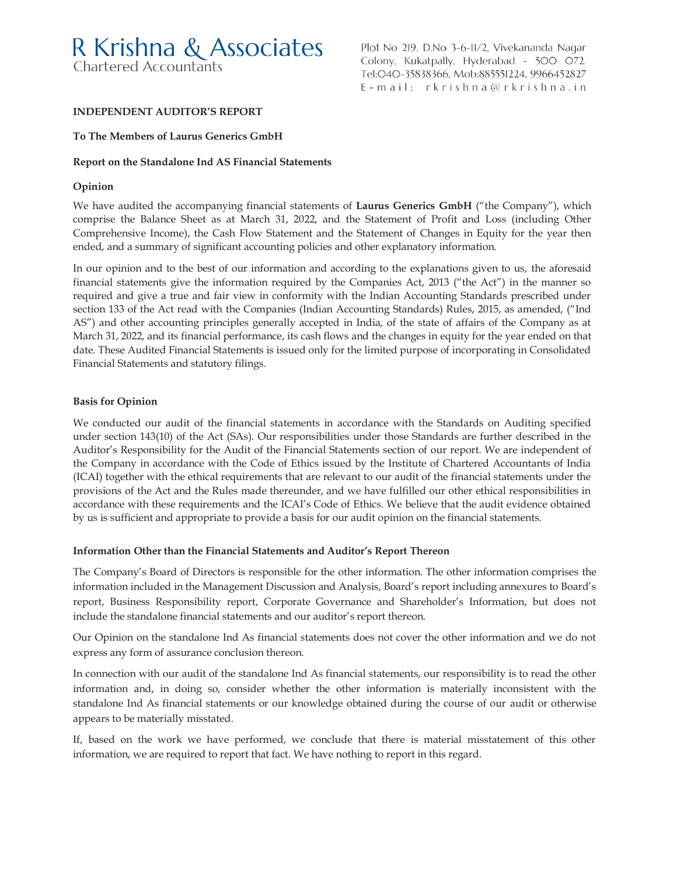Plot No 219, D.No 3-6-11/2, Vivekananda Nagar Colony, Kukatpally, Hyderabad - 500 072. Tel:O4O-35838366, Mob:885551224, 9966452827 E-mail: rkrishna@rkrishna.in

# **INDEPENDENT AUDITOR'S REPORT**

# **To The Members of Laurus Generics GmbH**

# **Report on the Standalone Ind AS Financial Statements**

# **Opinion**

We have audited the accompanying financial statements of **Laurus Generics GmbH** ("the Company"), which comprise the Balance Sheet as at March 31, 2022, and the Statement of Profit and Loss (including Other Comprehensive Income), the Cash Flow Statement and the Statement of Changes in Equity for the year then ended, and a summary of significant accounting policies and other explanatory information.

In our opinion and to the best of our information and according to the explanations given to us, the aforesaid financial statements give the information required by the Companies Act, 2013 ("the Act") in the manner so required and give a true and fair view in conformity with the Indian Accounting Standards prescribed under section 133 of the Act read with the Companies (Indian Accounting Standards) Rules, 2015, as amended, ("Ind AS") and other accounting principles generally accepted in India, of the state of affairs of the Company as at March 31, 2022, and its financial performance, its cash flows and the changes in equity for the year ended on that date. These Audited Financial Statements is issued only for the limited purpose of incorporating in Consolidated Financial Statements and statutory filings.

# **Basis for Opinion**

We conducted our audit of the financial statements in accordance with the Standards on Auditing specified under section 143(10) of the Act (SAs). Our responsibilities under those Standards are further described in the Auditor's Responsibility for the Audit of the Financial Statements section of our report. We are independent of the Company in accordance with the Code of Ethics issued by the Institute of Chartered Accountants of India (ICAI) together with the ethical requirements that are relevant to our audit of the financial statements under the provisions of the Act and the Rules made thereunder, and we have fulfilled our other ethical responsibilities in accordance with these requirements and the ICAI's Code of Ethics. We believe that the audit evidence obtained by us is sufficient and appropriate to provide a basis for our audit opinion on the financial statements.

## **Information Other than the Financial Statements and Auditor's Report Thereon**

The Company's Board of Directors is responsible for the other information. The other information comprises the information included in the Management Discussion and Analysis, Board's report including annexures to Board's report, Business Responsibility report, Corporate Governance and Shareholder's Information, but does not include the standalone financial statements and our auditor's report thereon.

Our Opinion on the standalone Ind As financial statements does not cover the other information and we do not express any form of assurance conclusion thereon.

In connection with our audit of the standalone Ind As financial statements, our responsibility is to read the other information and, in doing so, consider whether the other information is materially inconsistent with the standalone Ind As financial statements or our knowledge obtained during the course of our audit or otherwise appears to be materially misstated.

If, based on the work we have performed, we conclude that there is material misstatement of this other information, we are required to report that fact. We have nothing to report in this regard.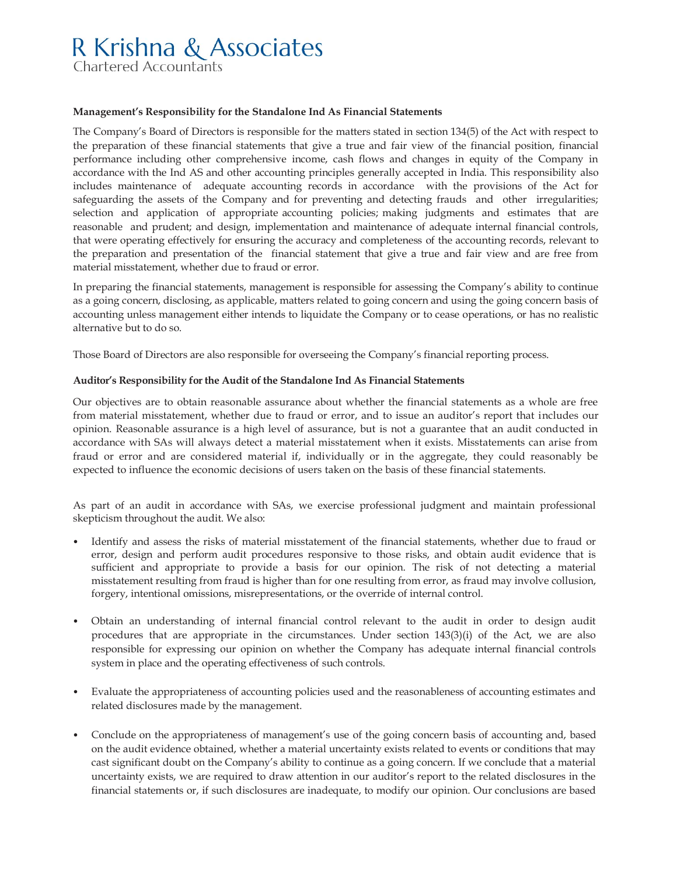# **Management's Responsibility for the Standalone Ind As Financial Statements**

The Company's Board of Directors is responsible for the matters stated in section 134(5) of the Act with respect to the preparation of these financial statements that give a true and fair view of the financial position, financial performance including other comprehensive income, cash flows and changes in equity of the Company in accordance with the Ind AS and other accounting principles generally accepted in India. This responsibility also includes maintenance of adequate accounting records in accordance with the provisions of the Act for safeguarding the assets of the Company and for preventing and detecting frauds and other irregularities; selection and application of appropriate accounting policies; making judgments and estimates that are reasonable and prudent; and design, implementation and maintenance of adequate internal financial controls, that were operating effectively for ensuring the accuracy and completeness of the accounting records, relevant to the preparation and presentation of the financial statement that give a true and fair view and are free from material misstatement, whether due to fraud or error.

In preparing the financial statements, management is responsible for assessing the Company's ability to continue as a going concern, disclosing, as applicable, matters related to going concern and using the going concern basis of accounting unless management either intends to liquidate the Company or to cease operations, or has no realistic alternative but to do so.

Those Board of Directors are also responsible for overseeing the Company's financial reporting process.

# **Auditor's Responsibility for the Audit of the Standalone Ind As Financial Statements**

Our objectives are to obtain reasonable assurance about whether the financial statements as a whole are free from material misstatement, whether due to fraud or error, and to issue an auditor's report that includes our opinion. Reasonable assurance is a high level of assurance, but is not a guarantee that an audit conducted in accordance with SAs will always detect a material misstatement when it exists. Misstatements can arise from fraud or error and are considered material if, individually or in the aggregate, they could reasonably be expected to influence the economic decisions of users taken on the basis of these financial statements.

As part of an audit in accordance with SAs, we exercise professional judgment and maintain professional skepticism throughout the audit. We also:

- Identify and assess the risks of material misstatement of the financial statements, whether due to fraud or error, design and perform audit procedures responsive to those risks, and obtain audit evidence that is sufficient and appropriate to provide a basis for our opinion. The risk of not detecting a material misstatement resulting from fraud is higher than for one resulting from error, as fraud may involve collusion, forgery, intentional omissions, misrepresentations, or the override of internal control.
- Obtain an understanding of internal financial control relevant to the audit in order to design audit procedures that are appropriate in the circumstances. Under section 143(3)(i) of the Act, we are also responsible for expressing our opinion on whether the Company has adequate internal financial controls system in place and the operating effectiveness of such controls.
- Evaluate the appropriateness of accounting policies used and the reasonableness of accounting estimates and related disclosures made by the management.
- Conclude on the appropriateness of management's use of the going concern basis of accounting and, based on the audit evidence obtained, whether a material uncertainty exists related to events or conditions that may cast significant doubt on the Company's ability to continue as a going concern. If we conclude that a material uncertainty exists, we are required to draw attention in our auditor's report to the related disclosures in the financial statements or, if such disclosures are inadequate, to modify our opinion. Our conclusions are based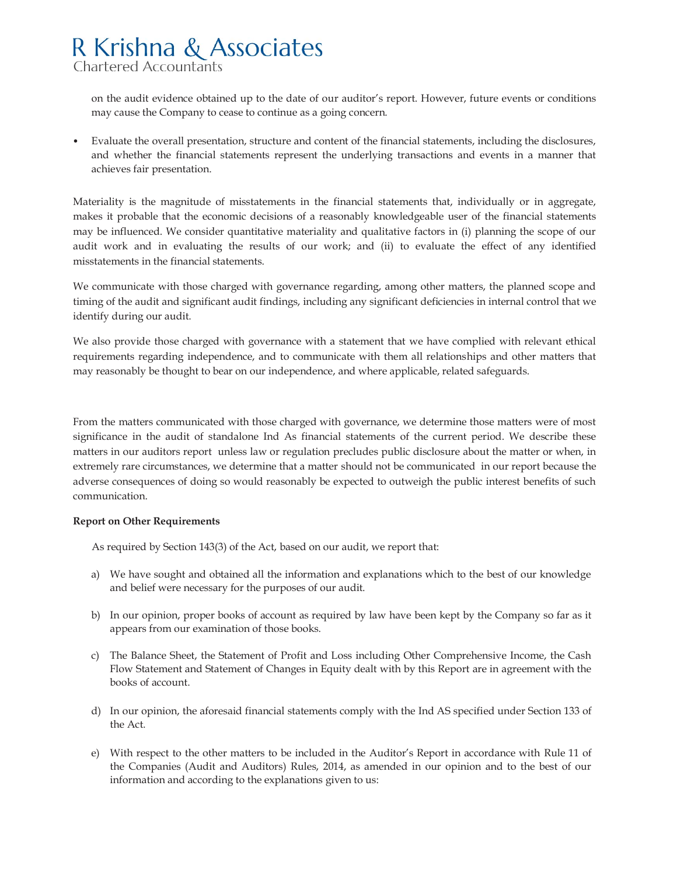on the audit evidence obtained up to the date of our auditor's report. However, future events or conditions may cause the Company to cease to continue as a going concern.

• Evaluate the overall presentation, structure and content of the financial statements, including the disclosures, and whether the financial statements represent the underlying transactions and events in a manner that achieves fair presentation.

Materiality is the magnitude of misstatements in the financial statements that, individually or in aggregate, makes it probable that the economic decisions of a reasonably knowledgeable user of the financial statements may be influenced. We consider quantitative materiality and qualitative factors in (i) planning the scope of our audit work and in evaluating the results of our work; and (ii) to evaluate the effect of any identified misstatements in the financial statements.

We communicate with those charged with governance regarding, among other matters, the planned scope and timing of the audit and significant audit findings, including any significant deficiencies in internal control that we identify during our audit.

We also provide those charged with governance with a statement that we have complied with relevant ethical requirements regarding independence, and to communicate with them all relationships and other matters that may reasonably be thought to bear on our independence, and where applicable, related safeguards.

From the matters communicated with those charged with governance, we determine those matters were of most significance in the audit of standalone Ind As financial statements of the current period. We describe these matters in our auditors report unless law or regulation precludes public disclosure about the matter or when, in extremely rare circumstances, we determine that a matter should not be communicated in our report because the adverse consequences of doing so would reasonably be expected to outweigh the public interest benefits of such communication.

# **Report on Other Requirements**

As required by Section 143(3) of the Act, based on our audit, we report that:

- a) We have sought and obtained all the information and explanations which to the best of our knowledge and belief were necessary for the purposes of our audit.
- b) In our opinion, proper books of account as required by law have been kept by the Company so far as it appears from our examination of those books.
- c) The Balance Sheet, the Statement of Profit and Loss including Other Comprehensive Income, the Cash Flow Statement and Statement of Changes in Equity dealt with by this Report are in agreement with the books of account.
- d) In our opinion, the aforesaid financial statements comply with the Ind AS specified under Section 133 of the Act.
- e) With respect to the other matters to be included in the Auditor's Report in accordance with Rule 11 of the Companies (Audit and Auditors) Rules, 2014, as amended in our opinion and to the best of our information and according to the explanations given to us: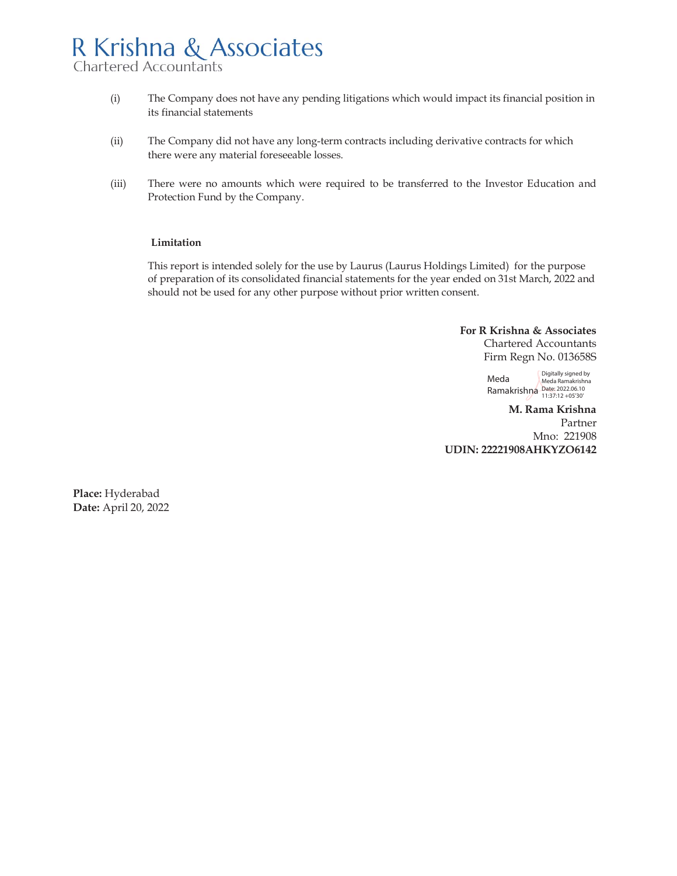- (i) The Company does not have any pending litigations which would impact its financial position in its financial statements
- (ii) The Company did not have any long-term contracts including derivative contracts for which there were any material foreseeable losses.
- (iii) There were no amounts which were required to be transferred to the Investor Education and Protection Fund by the Company.

## **Limitation**

This report is intended solely for the use by Laurus (Laurus Holdings Limited) for the purpose of preparation of its consolidated financial statements for the year ended on 31st March, 2022 and should not be used for any other purpose without prior written consent.

> **For R Krishna & Associates** Chartered Accountants Firm Regn No. 013658S

> > Meda Ramakrishna Date: 2022.06.10 11:37:12 +05'30'Digitally signed by Meda Ramakrishna

 **M. Rama Krishna** Partner Mno: 221908 **UDIN: 22221908AHKYZO6142**

**Place:** Hyderabad **Date:** April 20, 2022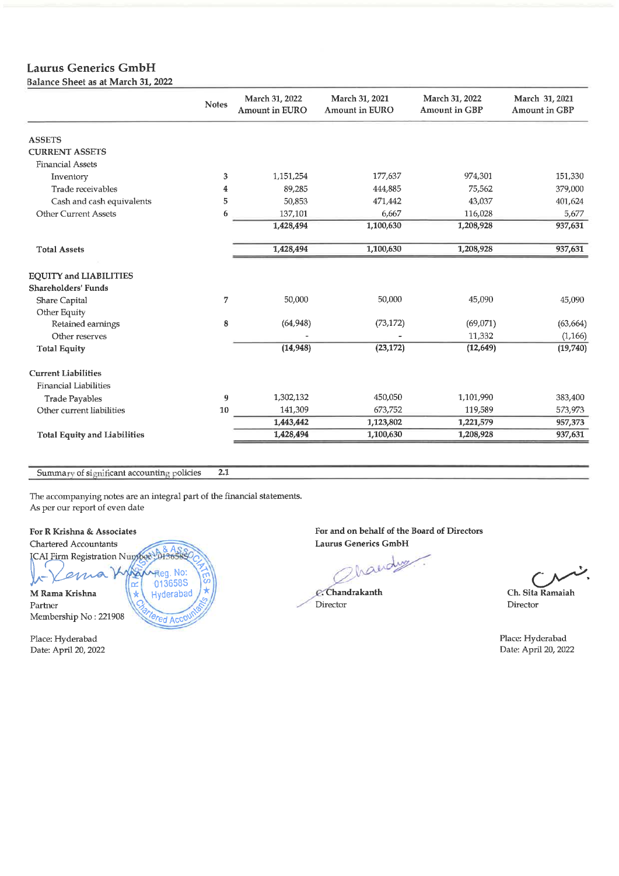Balance Sheet as at March 31, 2022

|                                     | March 31, 2022<br>March 31, 2021<br><b>Notes</b><br><b>Amount in EURO</b><br><b>Amount in EURO</b> |           | March 31, 2022<br><b>Amount in GBP</b> | March 31, 2021<br>Amount in GBP |           |
|-------------------------------------|----------------------------------------------------------------------------------------------------|-----------|----------------------------------------|---------------------------------|-----------|
| <b>ASSETS</b>                       |                                                                                                    |           |                                        |                                 |           |
| <b>CURRENT ASSETS</b>               |                                                                                                    |           |                                        |                                 |           |
| <b>Financial Assets</b>             |                                                                                                    |           |                                        |                                 |           |
| Inventory                           | 3                                                                                                  | 1,151,254 | 177,637                                | 974,301                         | 151,330   |
| Trade receivables                   | 4                                                                                                  | 89,285    | 444,885                                | 75,562                          | 379,000   |
| Cash and cash equivalents           | 5                                                                                                  | 50,853    | 471,442                                | 43,037                          | 401,624   |
| <b>Other Current Assets</b>         | 6                                                                                                  | 137,101   | 6,667                                  | 116,028                         | 5,677     |
|                                     |                                                                                                    | 1,428,494 | 1,100,630                              | 1,208,928                       | 937,631   |
| <b>Total Assets</b>                 |                                                                                                    | 1,428,494 | 1,100,630                              | 1,208,928                       | 937,631   |
|                                     |                                                                                                    |           |                                        |                                 |           |
| <b>EQUITY and LIABILITIES</b>       |                                                                                                    |           |                                        |                                 |           |
| <b>Shareholders' Funds</b>          |                                                                                                    |           |                                        |                                 |           |
| Share Capital                       | 7                                                                                                  | 50,000    | 50,000                                 | 45,090                          | 45,090    |
| Other Equity                        |                                                                                                    |           |                                        |                                 |           |
| Retained earnings                   | 8                                                                                                  | (64, 948) | (73, 172)                              | (69,071)                        | (63, 664) |
| Other reserves                      |                                                                                                    |           |                                        | 11,332                          | (1, 166)  |
| <b>Total Equity</b>                 |                                                                                                    | (14, 948) | (23, 172)                              | (12, 649)                       | (19,740)  |
| <b>Current Liabilities</b>          |                                                                                                    |           |                                        |                                 |           |
| <b>Financial Liabilities</b>        |                                                                                                    |           |                                        |                                 |           |
| <b>Trade Payables</b>               | 9                                                                                                  | 1,302,132 | 450,050                                | 1,101,990                       | 383,400   |
| Other current liabilities           | 10                                                                                                 | 141,309   | 673,752                                | 119,589                         | 573,973   |
|                                     |                                                                                                    | 1,443,442 | 1,123,802                              | 1,221,579                       | 957,373   |
| <b>Total Equity and Liabilities</b> |                                                                                                    | 1,428,494 | 1,100,630                              | 1,208,928                       | 937,631   |
|                                     |                                                                                                    |           |                                        |                                 |           |

Summary of significant accounting policies  $\overline{2.1}$ 

The accompanying notes are an integral part of the financial statements. As per our report of even date

013658S

Hyderabad

ered Acc

# For R Krishna & Associates

**Chartered Accountants** ICAI Firm Registration Number 0136589 S AReg. No: ema

œ

M Rama Krishna Partner Membership No: 221908

Place: Hyderabad Date: April 20, 2022



handus

C. Chandrakanth Director

بزبه Ch. Sita Ramaiah Director

Place: Hyderabad Date: April 20, 2022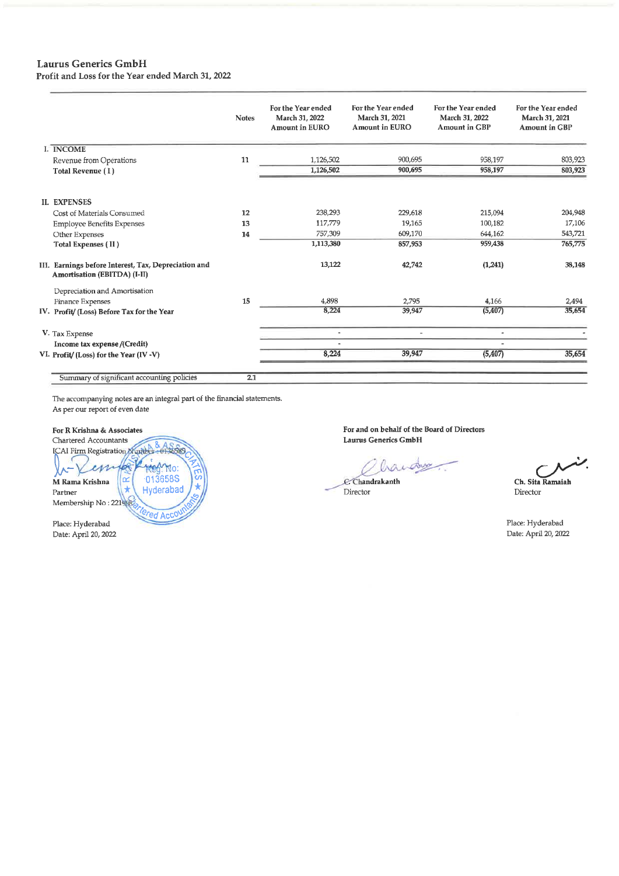Profit and Loss for the Year ended March 31, 2022

|                                                                                      | <b>Notes</b> | For the Year ended<br>March 31, 2022<br><b>Amount in EURO</b> | For the Year ended<br>March 31, 2021<br><b>Amount in EURO</b> | For the Year ended<br>March 31, 2022<br><b>Amount in GBP</b> | For the Year ended<br>March 31, 2021<br><b>Amount in GBP</b> |
|--------------------------------------------------------------------------------------|--------------|---------------------------------------------------------------|---------------------------------------------------------------|--------------------------------------------------------------|--------------------------------------------------------------|
| I. INCOME                                                                            |              |                                                               |                                                               |                                                              |                                                              |
| Revenue from Operations                                                              | 11           | 1,126,502                                                     | 900,695                                                       | 958,197                                                      | 803,923                                                      |
| Total Revenue (1)                                                                    |              | 1,126,502                                                     | 900,695                                                       | 958,197                                                      | 803,923                                                      |
| <b>II. EXPENSES</b>                                                                  |              |                                                               |                                                               |                                                              |                                                              |
| Cost of Materials Consumed                                                           | 12           | 238,293                                                       | 229,618                                                       | 215,094                                                      | 204,948                                                      |
| <b>Employee Benefits Expenses</b>                                                    | 13           | 117,779                                                       | 19,165                                                        | 100,182                                                      | 17,106                                                       |
| Other Expenses                                                                       | 14           | 757,309                                                       | 609,170                                                       | 644,162                                                      | 543,721                                                      |
| <b>Total Expenses (II)</b>                                                           |              | 1,113,380                                                     | 857,953                                                       | 959,438                                                      | 765,775                                                      |
| III. Earnings before Interest, Tax, Depreciation and<br>Amortisation (EBITDA) (I-II) |              | 13,122                                                        | 42,742                                                        | (1,241)                                                      | 38,148                                                       |
| Depreciation and Amortisation                                                        |              |                                                               |                                                               |                                                              |                                                              |
| Finance Expenses                                                                     | 15           | 4,898                                                         | 2,795                                                         | 4,166                                                        | 2,494                                                        |
| IV. Profit/ (Loss) Before Tax for the Year                                           |              | 8,224                                                         | 39,947                                                        | (5,407)                                                      | 35,654                                                       |
| V. Tax Expense                                                                       |              | $\sim$                                                        |                                                               |                                                              |                                                              |
| Income tax expense /(Credit)                                                         |              |                                                               |                                                               | ٠                                                            |                                                              |
| VI. Profit/ (Loss) for the Year (IV -V)                                              |              | 8,224                                                         | 39,947                                                        | (5,407)                                                      | 35,654                                                       |
| Summary of significant accounting policies                                           | 2.1          |                                                               |                                                               |                                                              |                                                              |

The accompanying notes are an integral part of the financial statements. As per our report of even date



For and on behalf of the Board of Directors Laurus Generics GmbH

Avr

C. Chandrakanth Director

بمنه

Ch. Sita Ramaiah Director

Place: Hyderabad Date: April 20, 2022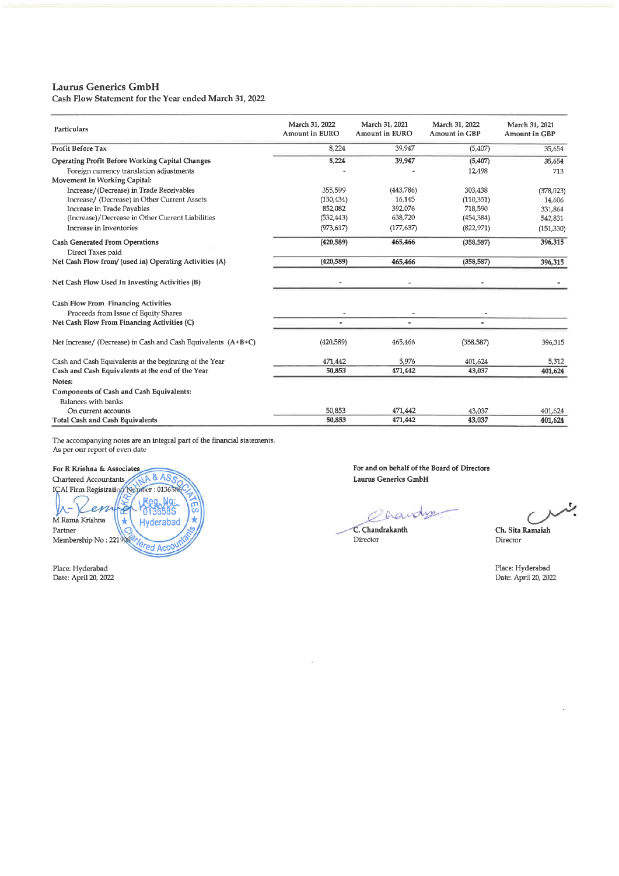Cash Flow Statement for the Year ended March 31, 2022

| Particulars                                                   | March 31, 2022<br><b>Amount in EURO</b> | March 31, 2021<br><b>Amount in EURO</b> | March 31, 2022<br><b>Amount in GBP</b> | March 31, 2021<br><b>Amount in GBP</b> |
|---------------------------------------------------------------|-----------------------------------------|-----------------------------------------|----------------------------------------|----------------------------------------|
| <b>Profit Before Tax</b>                                      | 8,224                                   | 39,947                                  | (5, 407)                               | 35,654                                 |
| <b>Operating Profit Before Working Capital Changes</b>        | 8,224                                   | 39,947                                  | (5, 407)                               | 35,654                                 |
| Foreign currency translation adjustments                      |                                         |                                         | 12,498                                 | 713                                    |
| Movement In Working Capital:                                  |                                         |                                         |                                        |                                        |
| Increase/(Decrease) in Trade Receivables                      | 355,599                                 | (443,786)                               | 303,438                                | (378, 023)                             |
| Increase/ (Decrease) in Other Current Assets                  | (130, 434)                              | 16,145                                  | (110, 351)                             | 14,606                                 |
| Increase in Trade Payables                                    | 852,082                                 | 392,076                                 | 718,590                                | 331,864                                |
| (Increase)/Decrease in Other Current Liabilities              | (532, 443)                              | 638,720                                 | (454, 384)                             | 542,831                                |
| Increase in Inventories                                       | (973, 617)                              | (177, 637)                              | (822, 971)                             | (151, 330)                             |
| Cash Generated From Operations                                | (420, 589)                              | 465,466                                 | (358, 587)                             | 396,315                                |
| Direct Taxes paid                                             |                                         |                                         |                                        |                                        |
| Net Cash Flow from/ (used in) Operating Activities (A)        | (420, 589)                              | 465,466                                 | (358, 587)                             | 396,315                                |
| Net Cash Flow Used In Investing Activities (B)                |                                         |                                         |                                        |                                        |
| <b>Cash Flow From Financing Activities</b>                    |                                         |                                         |                                        |                                        |
| Proceeds from Issue of Equity Shares                          |                                         |                                         |                                        |                                        |
| Net Cash Flow From Financing Activities (C)                   |                                         |                                         |                                        |                                        |
| Net Increase/ (Decrease) in Cash and Cash Equivalents (A+B+C) | (420, 589)                              | 465,466                                 | (358, 587)                             | 396,315                                |
| Cash and Cash Equivalents at the beginning of the Year        | 471,442                                 | 5,976                                   | 401,624                                | 5,312                                  |
| Cash and Cash Equivalents at the end of the Year              | 50,853                                  | 471.442                                 | 43.037                                 | 401,624                                |
| Notes:                                                        |                                         |                                         |                                        |                                        |
| <b>Components of Cash and Cash Equivalents:</b>               |                                         |                                         |                                        |                                        |
| <b>Balances with banks</b>                                    |                                         |                                         |                                        |                                        |
| On current accounts                                           | 50,853                                  | 471,442                                 | 43,037                                 | 401,624                                |
| <b>Total Cash and Cash Equivalents</b>                        | 50,853                                  | 471,442                                 | 43,037                                 | 401,624                                |

The accompanying notes are an integral part of the financial statements. As per our report of even date



Place: Hyderabad<br>Date: April 20, 2022

For and on behalf of the Board of Directors Laurus Generics GmbH

Obardys

C. Chandrakanth Director

بشہ

Ch. Sita Ramaiah Director

Place: Hyderabad<br>Date: April 20, 2022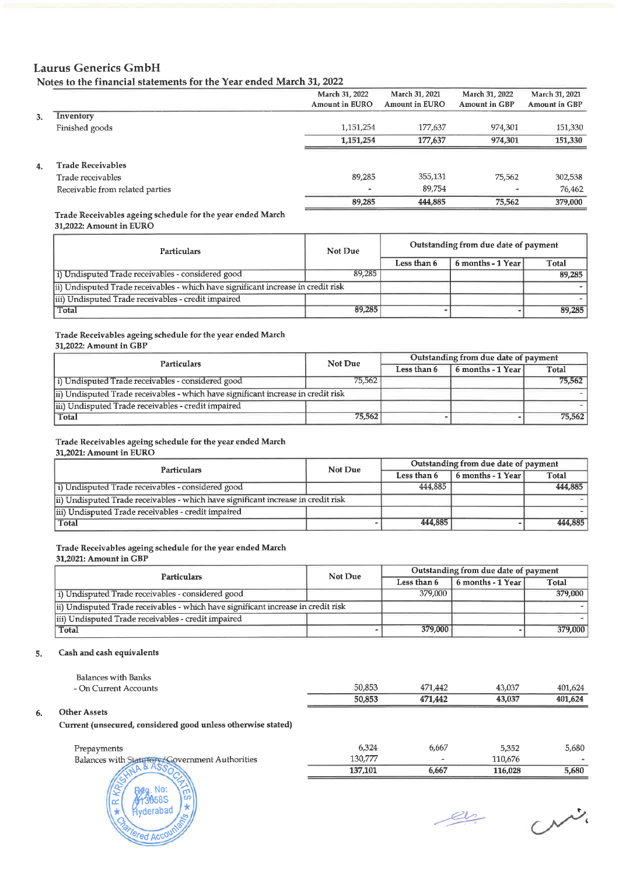Notes to the financial statements for the Year ended March 31, 2022

|    |                                 | March 31, 2022<br><b>Amount in EURO</b> | March 31, 2021<br>Amount in EURO | March 31, 2022<br><b>Amount in GBP</b> | March 31, 2021<br><b>Amount in GBP</b> |
|----|---------------------------------|-----------------------------------------|----------------------------------|----------------------------------------|----------------------------------------|
| 3. | Inventory                       |                                         |                                  |                                        |                                        |
|    | Finished goods                  | 1,151,254                               | 177,637                          | 974.301                                | 151,330                                |
|    |                                 | 1,151,254                               | 177,637                          | 974,301                                | 151,330                                |
| 4. | <b>Trade Receivables</b>        |                                         |                                  |                                        |                                        |
|    | Trade receivables               | 89,285                                  | 355,131                          | 75.562                                 | 302,538                                |
|    | Receivable from related parties |                                         | 89,754                           |                                        | 76,462                                 |
|    |                                 | 89,285                                  | 444,885                          | 75,562                                 | 379,000                                |

# Trade Receivables ageing schedule for the year ended March

31,2022: Amount in EURO

| <b>Particulars</b>                                                                | Not Due | Outstanding from due date of payment |                   |        |  |
|-----------------------------------------------------------------------------------|---------|--------------------------------------|-------------------|--------|--|
|                                                                                   |         | Less than 6                          | 6 months - 1 Year | Total  |  |
| i) Undisputed Trade receivables - considered good                                 | 89,285  |                                      |                   | 89,285 |  |
| ii) Undisputed Trade receivables - which have significant increase in credit risk |         |                                      |                   |        |  |
| iii) Undisputed Trade receivables - credit impaired                               |         |                                      |                   |        |  |
| Total                                                                             | 89,285  |                                      |                   | 89,285 |  |

# Trade Receivables ageing schedule for the year ended March

31,2022: Amount in GBP

| <b>Particulars</b>                                                                | Not Due | Outstanding from due date of payment |                   |        |  |
|-----------------------------------------------------------------------------------|---------|--------------------------------------|-------------------|--------|--|
|                                                                                   |         | Less than 6<br>75,562                | 6 months - 1 Year | Total  |  |
| i) Undisputed Trade receivables - considered good                                 |         |                                      |                   | 75.562 |  |
| ii) Undisputed Trade receivables - which have significant increase in credit risk |         |                                      |                   |        |  |
| iii) Undisputed Trade receivables - credit impaired                               |         |                                      |                   |        |  |
| Total                                                                             | 75.562  |                                      |                   | 75,562 |  |

# Trade Receivables ageing schedule for the year ended March

31,2021: Amount in EURO

| <b>Particulars</b>                                                                | Not Due | Outstanding from due date of payment |                   |              |  |
|-----------------------------------------------------------------------------------|---------|--------------------------------------|-------------------|--------------|--|
|                                                                                   |         | Less than 6                          | 6 months - 1 Year | <b>Total</b> |  |
| i) Undisputed Trade receivables - considered good                                 |         | 444.885                              |                   | 444,885      |  |
| ii) Undisputed Trade receivables - which have significant increase in credit risk |         |                                      |                   |              |  |
| iii) Undisputed Trade receivables - credit impaired                               |         |                                      |                   |              |  |
| Total                                                                             |         | 444,885                              |                   | 444,885      |  |

## Trade Receivables ageing schedule for the year ended March 31,2021: Amount in GBP

Outstanding from due date of payment Not Due Particulars 6 months - 1 Year Less than 6 **Total** i) Undisputed Trade receivables - considered good 379,000 379,000 ii) Undisputed Trade receivables - which have significant increase in credit risk iii) Undisputed Trade receivables - credit impaired 379,000 379,000 **Total** 

#### Cash and cash equivalents 5.

| Balances with Banks   |        |         |        |         |
|-----------------------|--------|---------|--------|---------|
| - On Current Accounts | 50.853 | 471,442 | 43.037 | 401.624 |
|                       | 50,853 | 471,442 | 43.037 | 401.624 |

#### **Other Assets** 6.

Current (unsecured, considered good unless otherwise stated)

| Prepayments                                    | 6,324   | 6,667 | 5,352   | 5,680 |
|------------------------------------------------|---------|-------|---------|-------|
| Balances with Statutory Covernment Authorities | 130.777 |       | 110.676 |       |
|                                                | 137.101 | 6,667 | 116.028 | 5.680 |
|                                                |         |       |         |       |

derabad ed Acco

 $u$ </u>

 $\sim$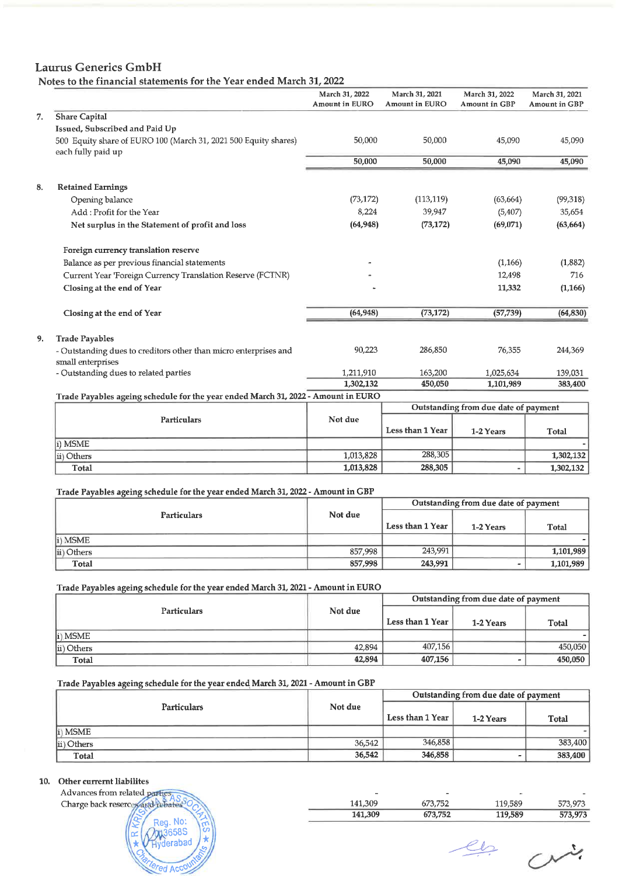Notes to the financial statements for the Year ended March 31, 2022

|    |                                                                                       | March 31, 2022<br><b>Amount in EURO</b> | March 31, 2021<br><b>Amount in EURO</b> | March 31, 2022<br><b>Amount in GBP</b> | March 31, 2021<br>Amount in GBP |
|----|---------------------------------------------------------------------------------------|-----------------------------------------|-----------------------------------------|----------------------------------------|---------------------------------|
| 7. | <b>Share Capital</b>                                                                  |                                         |                                         |                                        |                                 |
|    | Issued, Subscribed and Paid Up                                                        |                                         |                                         |                                        |                                 |
|    | 500 Equity share of EURO 100 (March 31, 2021 500 Equity shares)<br>each fully paid up | 50,000                                  | 50,000                                  | 45,090                                 | 45,090                          |
|    |                                                                                       | 50,000                                  | 50,000                                  | 45,090                                 | 45,090                          |
| 8. | <b>Retained Earnings</b>                                                              |                                         |                                         |                                        |                                 |
|    | Opening balance                                                                       | (73, 172)                               | (113, 119)                              | (63, 664)                              | (99,318)                        |
|    | Add: Profit for the Year                                                              | 8,224                                   | 39,947                                  | (5, 407)                               | 35,654                          |
|    | Net surplus in the Statement of profit and loss                                       | (64, 948)                               | (73, 172)                               | (69,071)                               | (63, 664)                       |
|    | Foreign currency translation reserve                                                  |                                         |                                         |                                        |                                 |
|    | Balance as per previous financial statements                                          |                                         |                                         | (1,166)                                | (1,882)                         |
|    | Current Year 'Foreign Currency Translation Reserve (FCTNR)                            |                                         |                                         | 12,498                                 | 716                             |
|    | Closing at the end of Year                                                            |                                         |                                         | 11,332                                 | (1, 166)                        |
|    | Closing at the end of Year                                                            | (64, 948)                               | (73, 172)                               | (57, 739)                              | (64, 830)                       |
| 9. | <b>Trade Payables</b>                                                                 |                                         |                                         |                                        |                                 |
|    | - Outstanding dues to creditors other than micro enterprises and<br>small enterprises | 90,223                                  | 286,850                                 | 76,355                                 | 244,369                         |
|    | - Outstanding dues to related parties                                                 | 1,211,910                               | 163,200                                 | 1,025,634                              | 139,031                         |
|    |                                                                                       | 1,302,132                               | 450,050                                 | 1,101,989                              | 383,400                         |
|    | Trade Payables ageing schedule for the year ended March 31, 2022 - Amount in EURO     |                                         |                                         |                                        |                                 |
|    |                                                                                       |                                         |                                         | Outstanding from due date of payment   |                                 |
|    | Particulars                                                                           | Not due                                 | Less than 1 Year                        | 1-2 Years                              | Total                           |

|            |           | Less than 1 Year | 1-2 Years | Total     |
|------------|-----------|------------------|-----------|-----------|
| i) MSME    |           |                  |           |           |
| ii) Others | 1.013.828 | 288,305          |           | 1,302,132 |
| Total      | 1,013,828 | 288,305          |           | 1,302,132 |

# Trade Payables ageing schedule for the year ended March 31, 2022 - Amount in GBP

|                    |         | Outstanding from due date of payment |           |           |  |
|--------------------|---------|--------------------------------------|-----------|-----------|--|
| <b>Particulars</b> | Not due |                                      |           |           |  |
|                    |         | Less than 1 Year                     | 1-2 Years | Total     |  |
| i) MSME            |         |                                      |           |           |  |
| ii) Others         | 857.998 | 243,991                              |           | 1,101,989 |  |
| Total              | 857,998 | 243,991                              |           | 1,101,989 |  |

# Trade Payables ageing schedule for the year ended March 31, 2021 - Amount in EURO

| <b>Particulars</b> |         | Outstanding from due date of payment |           |         |
|--------------------|---------|--------------------------------------|-----------|---------|
|                    | Not due |                                      |           |         |
|                    |         | Less than 1 Year                     | 1-2 Years | Total   |
| i) MSME            |         |                                      |           |         |
| ii) Others         | 42,894  | 407,156                              |           | 450,050 |
| Total              | 42,894  | 407,156                              |           | 450,050 |

# Trade Payables ageing schedule for the year ended March 31, 2021 - Amount in GBP

*artered* Account

|                    |         | Outstanding from due date of payment |           |              |  |
|--------------------|---------|--------------------------------------|-----------|--------------|--|
| <b>Particulars</b> | Not due |                                      |           |              |  |
|                    |         | Less than 1 Year                     | 1-2 Years | <b>Total</b> |  |
| i) MSME            |         |                                      |           |              |  |
| ii) Others         | 36,542  | 346,858                              |           | 383,400      |  |
| Total              | 36,542  | 346,858                              |           | 383,400      |  |

# 10. Other currernt liabilites

| Advances from related parties, |         |         |         |         |
|--------------------------------|---------|---------|---------|---------|
| Charge back reserce            | 141,309 | 673,752 | 119,589 | 573,973 |
|                                | 141,309 | 673,752 | 119,589 | 573,973 |
|                                |         |         |         |         |
|                                |         |         |         |         |

es cri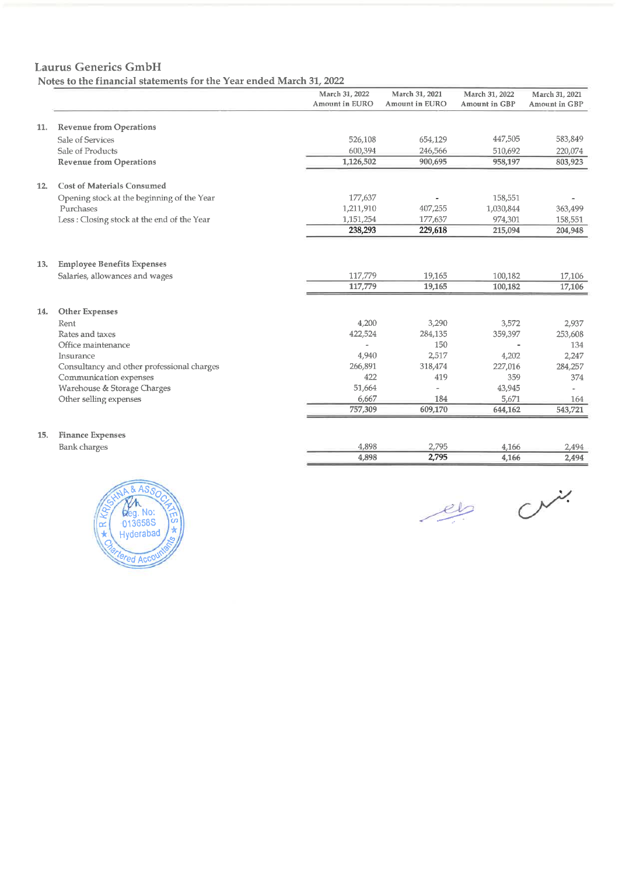Notes to the financial statements for the Year ended March 31, 2022

|     |                                            | March 31, 2022 | March 31, 2021        | March 31, 2022 | March 31, 2021 |
|-----|--------------------------------------------|----------------|-----------------------|----------------|----------------|
|     |                                            | Amount in EURO | <b>Amount in EURO</b> | Amount in GBP  | Amount in GBP  |
|     |                                            |                |                       |                |                |
| 11. | <b>Revenue from Operations</b>             |                |                       |                |                |
|     | Sale of Services                           | 526,108        | 654,129               | 447,505        | 583,849        |
|     | Sale of Products                           | 600,394        | 246,566               | 510,692        | 220,074        |
|     | <b>Revenue from Operations</b>             | 1,126,502      | 900,695               | 958,197        | 803,923        |
|     |                                            |                |                       |                |                |
| 12. | <b>Cost of Materials Consumed</b>          |                |                       |                |                |
|     | Opening stock at the beginning of the Year | 177,637        |                       | 158,551        |                |
|     | Purchases                                  | 1,211,910      | 407,255               | 1,030,844      | 363,499        |
|     | Less: Closing stock at the end of the Year | 1,151,254      | 177,637               | 974,301        | 158,551        |
|     |                                            | 238,293        | 229,618               | 215,094        | 204,948        |
|     |                                            |                |                       |                |                |
|     |                                            |                |                       |                |                |
| 13. | <b>Employee Benefits Expenses</b>          |                |                       |                |                |
|     | Salaries, allowances and wages             | 117,779        | 19,165                | 100,182        | 17,106         |
|     |                                            | 117,779        | 19,165                | 100,182        | 17,106         |
|     |                                            |                |                       |                |                |
| 14. | <b>Other Expenses</b>                      |                |                       |                |                |
|     | Rent                                       | 4,200          | 3,290                 | 3,572          | 2,937          |
|     | Rates and taxes                            | 422,524        | 284,135               | 359,397        | 253,608        |
|     | Office maintenance                         | $\overline{a}$ | 150                   |                | 134            |
|     | Insurance                                  | 4,940          | 2,517                 | 4,202          | 2,247          |
|     | Consultancy and other professional charges | 266,891        | 318,474               | 227,016        | 284,257        |
|     | Communication expenses                     | 422            | 419                   | 359            | 374            |
|     | Warehouse & Storage Charges                | 51,664         | $\overline{a}$        | 43,945         |                |
|     | Other selling expenses                     | 6,667          | 184                   | 5,671          | 164            |
|     |                                            | 757,309        | 609,170               | 644,162        | 543,721        |
|     |                                            |                |                       |                |                |
| 15. | <b>Finance Expenses</b>                    |                |                       |                |                |
|     | <b>Bank</b> charges                        | 4,898          | 2,795                 | 4,166          | 2,494          |
|     |                                            | 4,898          | 2,795                 | 4,166          | 2,494          |
|     |                                            |                |                       |                |                |



 $\mathcal{C}^{\mathcal{M}}$  $e^{i\theta}$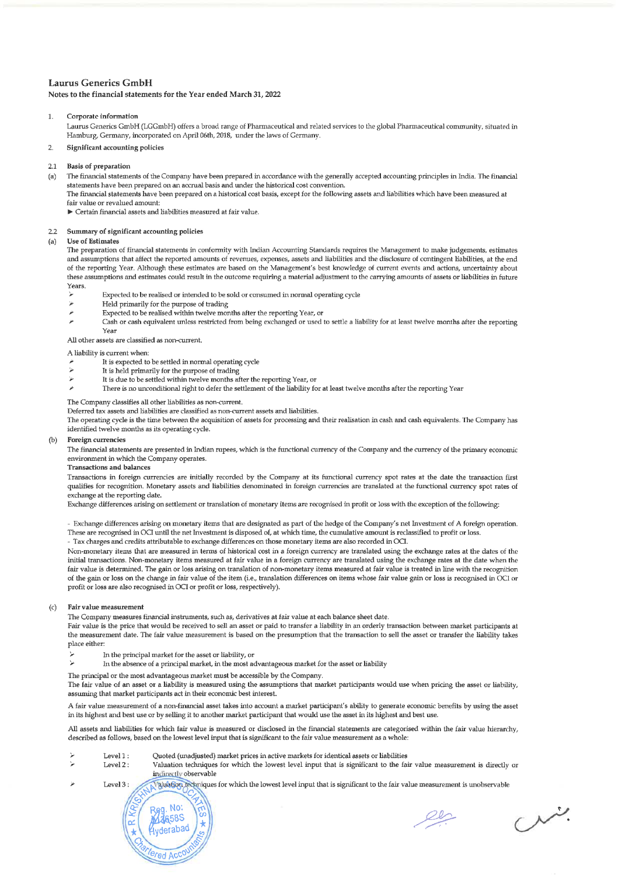### Notes to the financial statements for the Year ended March 31, 2022

Corporate information  $\mathbf{1}$ 

> Laurus Generics GmbH (LGGmbH) offers a broad range of Pharmaceutical and related services to the global Pharmaceutical community, situated in Hamburg, Germany, incorporated on April 06th, 2018, under the laws of Germany.

- Significant accounting policies  $\overline{2}$
- 2.1 Basis of preparation

The financial statements of the Company have been prepared in accordance with the generally accepted accounting principles in India. The financial  $(a)$ statements have been prepared on an accrual basis and under the historical cost convention.

The financial statements have been prepared on a historical cost basis, except for the following assets and liabilities which have been measured at fair value or revalued amount:

 $\blacktriangleright$  Certain financial assets and liabilities measured at fair value.

#### $2.2$ Summary of significant accounting policies

#### **Use of Estimates**  $(a)$

The preparation of financial statements in conformity with Indian Accounting Standards requires the Management to make judgements, estimates and assumptions that affect the reported amounts of revenues, expenses, assets and liabilities and the disclosure of contingent liabilities, at the end of the reporting Year. Although these estimates are based on the Management's best knowledge of current events and actions, uncertainty about these assumptions and estimates could result in the outcome requiring a material adjustment to the carrying amounts of assets or liabilities in future Years

- Expected to be realised or intended to be sold or consumed in normal operating cycle
- $\overline{\phantom{a}}$ Held primarily for the purpose of trading
- Expected to be realised within twelve months after the reporting Year, or
- Cash or cash equivalent unless restricted from being exchanged or used to settle a liability for at least twelve months after the reporting Year

All other assets are classified as non-current.

A liability is current when:

- It is expected to be settled in normal operating cycle
- It is held primarily for the purpose of trading
- $\mathbf{r}$ It is due to be settled within twelve months after the reporting Year, or
- There is no unconditional right to defer the settlement of the liability for at least twelve months after the reporting Year

The Company classifies all other liabilities as non-current.

Deferred tax assets and liabilities are classified as non-current assets and liabilities.

The operating cycle is the time between the acquisition of assets for processing and their realisation in cash and cash equivalents. The Company has identified twelve months as its operating cycle.

 $(b)$ Foreign currencies

> The financial statements are presented in Indian rupees, which is the functional currency of the Company and the currency of the primary economic environment in which the Company operates.

### **Transactions and balances**

Transactions in foreign currencies are initially recorded by the Company at its functional currency spot rates at the date the transaction first qualifies for recognition. Monetary assets and liabilities denominated in foreign currencies are translated at the functional currency spot rates of exchange at the reporting date.

Exchange differences arising on settlement or translation of monetary items are recognised in profit or loss with the exception of the following:

- Exchange differences arising on monetary items that are designated as part of the hedge of the Company's net Investment of A foreign operation. These are recognised in OCI until the net Investment is disposed of, at which time, the cumulative amount is reclassified to profit or loss - Tax charges and credits attributable to exchange differences on those monetary items are also recorded in OCI.

Non-monetary items that are measured in terms of historical cost in a foreign currency are translated using the exchange rates at the dates of the initial transactions. Non-monetary items measured at fair value in a foreign currency are translated using the exchange rates at the date when the fair value is determined. The gain or loss arising on translation of non-monetary items measured at fair value is treated in line with the recognition of the gain or loss on the change in fair value of the item (i.e., translation differences on items whose fair value gain or loss is recognised in OCI or profit or loss are also recognised in OCI or profit or loss, respectively).

#### $(c)$ Fair value measurement

The Company measures financial instruments, such as, derivatives at fair value at each balance sheet date.

Fair value is the price that would be received to sell an asset or paid to transfer a liability in an orderly transaction between market participants at the measurement date. The fair value measurement is based on the presumption that the transaction to sell the asset or transfer the liability takes place either

- In the principal market for the asset or liability, or
- In the absence of a principal market, in the most advantageous market for the asset or liability

The principal or the most advantageous market must be accessible by the Company.

The fair value of an asset or a liability is measured using the assumptions that market participants would use when pricing the asset or liability, assuming that market participants act in their economic best interest.

A fair value measurement of a non-financial asset takes into account a market participant's ability to generate economic benefits by using the asset in its highest and best use or by selling it to another market participant that would use the asset in its highest and best use.

All assets and liabilities for which fair value is measured or disclosed in the financial statements are categorised within the fair value hierarchy, described as follows, based on the lowest level input that is significant to the fair value measurement as a whole:

Level 1: Quoted (unadjusted) market prices in active markets for identical assets or liabilities

 $\ddot{\phantom{1}}$ Level 2: Valuation techniques for which the lowest level input that is significant to the fair value measurement is directly or indirectly observable

aluation techniques for which the lowest level input that is significant to the fair value measurement is unobservable Þ  $Level3$ :



Leg

 $\sim$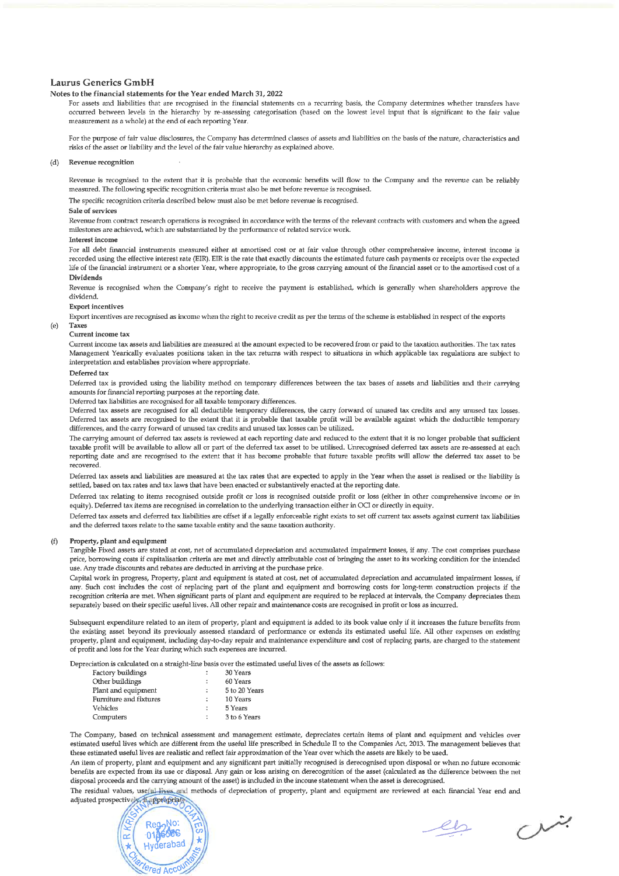### Notes to the financial statements for the Year ended March 31, 2022

For assets and liabilities that are recognised in the financial statements on a recurring basis, the Company determines whether transfers have occurred between levels in the hierarchy by re-assessing categorisation (based on the lowest level input that is significant to the fair value measurement as a whole) at the end of each reporting Year.

For the purpose of fair value disclosures, the Company has determined classes of assets and liabilities on the basis of the nature, characteristics and risks of the asset or liability and the level of the fair value hierarchy as explained above.

### (d) Revenue recognition

Revenue is recognised to the extent that it is probable that the economic benefits will flow to the Company and the revenue can be reliably measured. The following specific recognition criteria must also be met before revenue is recognised.

The specific recognition criteria described below must also be met before revenue is recognised.

### Sale of services

Revenue from contract research operations is recognised in accordance with the terms of the relevant contracts with customers and when the agreed milestones are achieved, which are substantiated by the performance of related service work.

### **Interest income**

For all debt financial instruments measured either at amortised cost or at fair value through other comprehensive income, interest income is recorded using the effective interest rate (EIR). EIR is the rate that exactly discounts the estimated future cash payments or receipts over the expected life of the financial instrument or a shorter Year, where appropriate, to the gross carrying amount of the financial asset or to the amortised cost of a Dividends

Revenue is recognised when the Company's right to receive the payment is established, which is generally when shareholders approve the hrebivih

### **Export incentives**

Export incentives are recognised as income when the right to receive credit as per the terms of the scheme is established in respect of the exports Taxes

### Current income tax

 $(e)$ 

Current income tax assets and liabilities are measured at the amount expected to be recovered from or paid to the taxation authorities. The tax rates Management Yearically evaluates positions taken in the tax returns with respect to situations in which applicable tax regulations are subject to interpretation and establishes provision where appropriate.

### Deferred tax

Deferred tax is provided using the liability method on temporary differences between the tax bases of assets and liabilities and their carrying amounts for financial reporting purposes at the reporting date.

Deferred tax liabilities are recognised for all taxable temporary differences.

Deferred tax assets are recognised for all deductible temporary differences, the carry forward of unused tax credits and any unused tax losses. Deferred tax assets are recognised to the extent that it is probable that taxable profit will be available against which the deductible temporary differences, and the carry forward of unused tax credits and unused tax losses can be utilized.

The carrying amount of deferred tax assets is reviewed at each reporting date and reduced to the extent that it is no longer probable that sufficient taxable profit will be available to allow all or part of the deferred tax asset to be utilised. Unrecognised deferred tax assets are re-assessed at each reporting date and are recognised to the extent that it has become probable that future taxable profits will allow the deferred tax asset to be recovered

Deferred tax assets and liabilities are measured at the tax rates that are expected to apply in the Year when the asset is realised or the liability is settled, based on tax rates and tax laws that have been enacted or substantively enacted at the reporting date.

Deferred tax relating to items recognised outside profit or loss is recognised outside profit or loss (either in other comprehensive income or in equity). Deferred tax items are recognised in correlation to the underlying transaction either in OCI or directly in equity.

Deferred tax assets and deferred tax liabilities are offset if a legally enforceable right exists to set off current tax assets against current tax liabilities and the deferred taxes relate to the same taxable entity and the same taxation authority.

#### Property, plant and equipment  $(f)$

Tangible Fixed assets are stated at cost, net of accumulated depreciation and accumulated impairment losses, if any. The cost comprises purchase price, borrowing costs if capitalisation criteria are met and directly attributable cost of bringing the asset to its working condition for the intended use. Any trade discounts and rebates are deducted in arriving at the purchase price.

Capital work in progress, Property, plant and equipment is stated at cost, net of accumulated depreciation and accumulated impairment losses, if any. Such cost includes the cost of replacing part of the plant and equipment and borrowing costs for long-term construction projects if the recognition criteria are met. When significant parts of plant and equipment are required to be replaced at intervals, the Company depreciates them separately based on their specific useful lives. All other repair and maintenance costs are recognised in profit or loss as incurred.

Subsequent expenditure related to an item of property, plant and equipment is added to its book value only if it increases the future benefits from the existing asset beyond its previously assessed standard of performance or extends its estimated useful life. All other expenses on existing property, plant and equipment, including day-to-day repair and maintenance expenditure and cost of replacing parts, are charged to the statement of profit and loss for the Year during which such expenses are incurred.

Depreciation is calculated on a straight-line basis over the estimated useful lives of the assets as follows:

| Factory buildings      |    | 30 Years      |
|------------------------|----|---------------|
| Other buildings        |    | 60 Years      |
| Plant and equipment    | ÷. | 5 to 20 Years |
| Furniture and fixtures | ÷. | 10 Years      |
| Vehicles               | ÷  | 5 Years       |
| Computers              | ÷  | 3 to 6 Years  |

The Company, based on technical assessment and management estimate, depreciates certain items of plant and equipment and vehicles over estimated useful lives which are different from the useful life prescribed in Schedule II to the Companies Act, 2013. The management believes that these estimated useful lives are realistic and reflect fair approximation of the Year over which the assets are likely to be used.

An item of property, plant and equipment and any significant part initially recognised is derecognised upon disposal or when no future economic benefits are expected from its use or disposal. Any gain or loss arising on derecognition of the asset (calculated as the difference between the net disposal proceeds and the carrying amount of the asset) is included in the income statement when the asset is derecognised.

The residual values, useful lives and methods of depreciation of property, plant and equipment are reviewed at each financial Year end and adjusted prospectively. If appropriate



 $\sim$